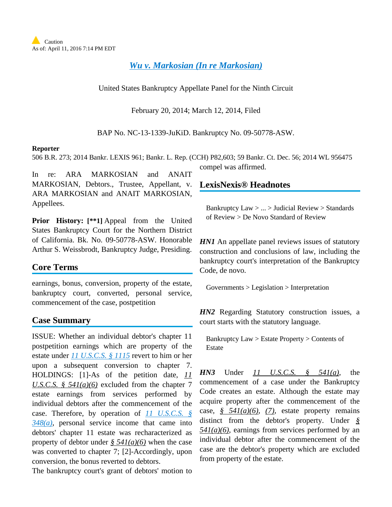*[Wu v. Markosian \(In re Markosian\)](http://advance.lexis.com/api/document?collection=cases&id=urn:contentItem:5BR7-6MD1-F049-W00C-00000-00&context=1000516)*

United States Bankruptcy Appellate Panel for the Ninth Circuit

February 20, 2014; March 12, 2014, Filed

BAP No. NC-13-1339-JuKiD. Bankruptcy No. 09-50778-ASW.

#### **Reporter**

506 B.R. 273; 2014 Bankr. LEXIS 961; Bankr. L. Rep. (CCH) P82,603; 59 Bankr. Ct. Dec. 56; 2014 WL 956475

In re: ARA MARKOSIAN and ANAIT MARKOSIAN, Debtors., Trustee, Appellant, v. ARA MARKOSIAN and ANAIT MARKOSIAN, Appellees.

**Prior History: [\*\*1]** Appeal from the United States Bankruptcy Court for the Northern District of California. Bk. No. 09-50778-ASW. Honorable Arthur S. Weissbrodt, Bankruptcy Judge, Presiding.

# **Core Terms**

earnings, bonus, conversion, property of the estate, bankruptcy court, converted, personal service, commencement of the case, postpetition

# **Case Summary**

ISSUE: Whether an individual debtor's chapter 11 postpetition earnings which are property of the estate under *[11 U.S.C.S. § 1115](http://advance.lexis.com/api/document?collection=statutes-legislation&id=urn:contentItem:4YF7-GT91-NRF4-40GT-00000-00&context=1000516)* revert to him or her upon a subsequent conversion to chapter 7. HOLDINGS: [1]-As of the petition date, *11 U.S.C.S. § 541(a)(6)* excluded from the chapter 7 estate earnings from services performed by individual debtors after the commencement of the case. Therefore, by operation of *[11 U.S.C.S. §](http://advance.lexis.com/api/document?collection=statutes-legislation&id=urn:contentItem:4YF7-GHV1-NRF4-44N4-00000-00&context=1000516)  [348\(a\)](http://advance.lexis.com/api/document?collection=statutes-legislation&id=urn:contentItem:4YF7-GHV1-NRF4-44N4-00000-00&context=1000516)*, personal service income that came into debtors' chapter 11 estate was recharacterized as property of debtor under *§ 541(a)(6)* when the case was converted to chapter 7; [2]-Accordingly, upon conversion, the bonus reverted to debtors.

The bankruptcy court's grant of debtors' motion to

# **LexisNexis® Headnotes**

compel was affirmed.

Bankruptcy Law > ... > Judicial Review > Standards of Review > De Novo Standard of Review

*HN1* An appellate panel reviews issues of statutory construction and conclusions of law, including the bankruptcy court's interpretation of the Bankruptcy Code, de novo.

Governments > Legislation > Interpretation

*HN2* Regarding Statutory construction issues, a court starts with the statutory language.

Bankruptcy Law > Estate Property > Contents of Estate

*HN3* Under *11 U.S.C.S. § 541(a)*, the commencement of a case under the Bankruptcy Code creates an estate. Although the estate may acquire property after the commencement of the case, *§ 541(a)(6)*, *(7)*, estate property remains distinct from the debtor's property. Under *§ 541(a)(6)*, earnings from services performed by an individual debtor after the commencement of the case are the debtor's property which are excluded from property of the estate.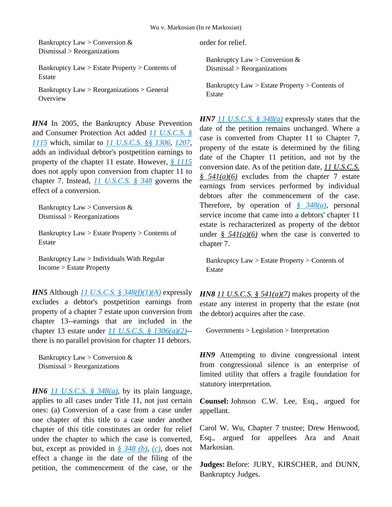Bankruptcy Law > Conversion  $&$ Dismissal > Reorganizations

Bankruptcy Law > Estate Property > Contents of Estate

Bankruptcy Law > Reorganizations > General **Overview** 

HN4 In 2005, the Bankruptcy Abuse Prevention and Consumer Protection Act added *[11 U.S.C.S. §](http://advance.lexis.com/api/document?collection=statutes-legislation&id=urn:contentItem:4YF7-GT91-NRF4-40GT-00000-00&context=1000516)  [1115](http://advance.lexis.com/api/document?collection=statutes-legislation&id=urn:contentItem:4YF7-GT91-NRF4-40GT-00000-00&context=1000516)* which, similar to *[11 U.S.C.S. §§ 1306](http://advance.lexis.com/api/document?collection=statutes-legislation&id=urn:contentItem:4YF7-GW71-NRF4-4403-00000-00&context=1000516)*, *[1207](http://advance.lexis.com/api/document?collection=statutes-legislation&id=urn:contentItem:4YF7-GMG1-NRF4-44SH-00000-00&context=1000516)*, adds an individual debtor's postpetition earnings to property of the chapter 11 estate. However, *[§ 1115](http://advance.lexis.com/api/document?collection=statutes-legislation&id=urn:contentItem:4YF7-GT91-NRF4-40GT-00000-00&context=1000516)* does not apply upon conversion from chapter 11 to chapter 7. Instead, *[11 U.S.C.S. § 348](http://advance.lexis.com/api/document?collection=statutes-legislation&id=urn:contentItem:4YF7-GHV1-NRF4-44N4-00000-00&context=1000516)* governs the effect of a conversion.

Bankruptcy Law > Conversion  $&$ Dismissal > Reorganizations

Bankruptcy Law > Estate Property > Contents of Estate

Bankruptcy Law > Individuals With Regular Income > Estate Property

*HN5* Although *[11 U.S.C.S. § 348\(f\)\(1\)\(A\)](http://advance.lexis.com/api/document?collection=statutes-legislation&id=urn:contentItem:4YF7-GHV1-NRF4-44N4-00000-00&context=1000516)* expressly excludes a debtor's postpetition earnings from property of a chapter 7 estate upon conversion from chapter 13--earnings that are included in the chapter 13 estate under *[11 U.S.C.S. § 1306\(a\)\(2\)](http://advance.lexis.com/api/document?collection=statutes-legislation&id=urn:contentItem:4YF7-GW71-NRF4-4403-00000-00&context=1000516)*- there is no parallel provision for chapter 11 debtors.

Bankruptcy Law > Conversion  $&$ Dismissal > Reorganizations

*HN6 [11 U.S.C.S. § 348\(a\)](http://advance.lexis.com/api/document?collection=statutes-legislation&id=urn:contentItem:4YF7-GHV1-NRF4-44N4-00000-00&context=1000516)*, by its plain language, applies to all cases under Title 11, not just certain ones: (a) Conversion of a case from a case under one chapter of this title to a case under another chapter of this title constitutes an order for relief under the chapter to which the case is converted, but, except as provided in *[§ 348 \(b\)](http://advance.lexis.com/api/document?collection=statutes-legislation&id=urn:contentItem:4YF7-GHV1-NRF4-44N4-00000-00&context=1000516)*, *[\(c\)](http://advance.lexis.com/api/document?collection=statutes-legislation&id=urn:contentItem:4YF7-GHV1-NRF4-44N4-00000-00&context=1000516)*, does not effect a change in the date of the filing of the petition, the commencement of the case, or the order for relief.

Bankruptcy Law > Conversion & Dismissal > Reorganizations

Bankruptcy Law > Estate Property > Contents of Estate

*HN7 [11 U.S.C.S. § 348\(a\)](http://advance.lexis.com/api/document?collection=statutes-legislation&id=urn:contentItem:4YF7-GHV1-NRF4-44N4-00000-00&context=1000516)* expressly states that the date of the petition remains unchanged. Where a case is converted from Chapter 11 to Chapter 7, property of the estate is determined by the filing date of the Chapter 11 petition, and not by the conversion date. As of the petition date, *11 U.S.C.S. § 541(a)(6)* excludes from the chapter 7 estate earnings from services performed by individual debtors after the commencement of the case. Therefore, by operation of *[§ 348\(a\)](http://advance.lexis.com/api/document?collection=statutes-legislation&id=urn:contentItem:4YF7-GHV1-NRF4-44N4-00000-00&context=1000516)*, personal service income that came into a debtors' chapter 11 estate is recharacterized as property of the debtor under  $\frac{6}{5}$  541(a)(6) when the case is converted to chapter 7.

Bankruptcy Law > Estate Property > Contents of Estate

*HN8 11 U.S.C.S. § 541(a)(7)* makes property of the estate any interest in property that the estate (not the debtor) acquires after the case.

Governments > Legislation > Interpretation

*HN9* Attempting to divine congressional intent from congressional silence is an enterprise of limited utility that offers a fragile foundation for statutory interpretation.

**Counsel:** Johnson C.W. Lee, Esq., argued for appellant.

Carol W. Wu, Chapter 7 trustee; Drew Henwood, Esq., argued for appellees Ara and Anait Markosian.

**Judges:** Before: JURY, KIRSCHER, and DUNN, Bankruptcy Judges.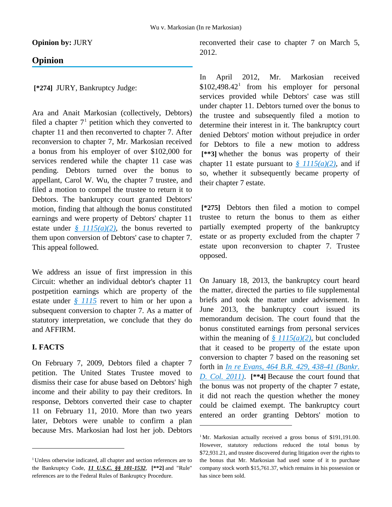$\overline{a}$ 

**Opinion by:** JURY

### **Opinion**

**[\*274]** JURY, Bankruptcy Judge:

Ara and Anait Markosian (collectively, Debtors) filed a chapter  $7<sup>1</sup>$  $7<sup>1</sup>$  $7<sup>1</sup>$  petition which they converted to chapter 11 and then reconverted to chapter 7. After reconversion to chapter 7, Mr. Markosian received a bonus from his employer of over \$102,000 for services rendered while the chapter 11 case was pending. Debtors turned over the bonus to appellant, Carol W. Wu, the chapter 7 trustee, and filed a motion to compel the trustee to return it to Debtors. The bankruptcy court granted Debtors' motion, finding that although the bonus constituted earnings and were property of Debtors' chapter 11 estate under *[§ 1115\(a\)\(2\)](http://advance.lexis.com/api/document?collection=statutes-legislation&id=urn:contentItem:4YF7-GT91-NRF4-40GT-00000-00&context=1000516)*, the bonus reverted to them upon conversion of Debtors' case to chapter 7. This appeal followed.

We address an issue of first impression in this Circuit: whether an individual debtor's chapter 11 postpetition earnings which are property of the estate under *[§ 1115](http://advance.lexis.com/api/document?collection=statutes-legislation&id=urn:contentItem:4YF7-GT91-NRF4-40GT-00000-00&context=1000516)* revert to him or her upon a subsequent conversion to chapter 7. As a matter of statutory interpretation, we conclude that they do and AFFIRM.

### **I. FACTS**

<span id="page-2-1"></span> $\overline{a}$ 

On February 7, 2009, Debtors filed a chapter 7 petition. The United States Trustee moved to dismiss their case for abuse based on Debtors' high income and their ability to pay their creditors. In response, Debtors converted their case to chapter 11 on February 11, 2010. More than two years later, Debtors were unable to confirm a plan because Mrs. Markosian had lost her job. Debtors reconverted their case to chapter 7 on March 5, 2012.

In April 2012, Mr. Markosian received  $$102,498.42$  $$102,498.42$  $$102,498.42$ <sup>1</sup> from his employer for personal services provided while Debtors' case was still under chapter 11. Debtors turned over the bonus to the trustee and subsequently filed a motion to determine their interest in it. The bankruptcy court denied Debtors' motion without prejudice in order for Debtors to file a new motion to address **[\*\*3]** whether the bonus was property of their chapter 11 estate pursuant to  $\frac{8}{3}$  1115(a)(2), and if so, whether it subsequently became property of their chapter 7 estate.

**[\*275]** Debtors then filed a motion to compel trustee to return the bonus to them as either partially exempted property of the bankruptcy estate or as property excluded from the chapter 7 estate upon reconversion to chapter 7. Trustee opposed.

On January 18, 2013, the bankruptcy court heard the matter, directed the parties to file supplemental briefs and took the matter under advisement. In June 2013, the bankruptcy court issued its memorandum decision. The court found that the bonus constituted earnings from personal services within the meaning of  $\frac{g}{g}$  1115(a)(2), but concluded that it ceased to be property of the estate upon conversion to chapter 7 based on the reasoning set forth in *[In re Evans, 464 B.R. 429, 438-41 \(Bankr.](http://advance.lexis.com/api/document?collection=cases&id=urn:contentItem:54XJ-6YB1-F048-V015-00000-00&context=1000516)  [D. Col. 2011\)](http://advance.lexis.com/api/document?collection=cases&id=urn:contentItem:54XJ-6YB1-F048-V015-00000-00&context=1000516)*. **[\*\*4]** Because the court found that the bonus was not property of the chapter 7 estate, it did not reach the question whether the money could be claimed exempt. The bankruptcy court entered an order granting Debtors' motion to

<span id="page-2-0"></span><sup>&</sup>lt;sup>1</sup> Unless otherwise indicated, all chapter and section references are to the Bankruptcy Code, *11 U.S.C. §§ 101-1532*, **[\*\*2]** and "Rule" references are to the Federal Rules of Bankruptcy Procedure.

<sup>&</sup>lt;sup>1</sup>Mr. Markosian actually received a gross bonus of \$191,191.00. However, statutory reductions reduced the total bonus by \$72,931.21, and trustee discovered during litigation over the rights to the bonus that Mr. Markosian had used some of it to purchase company stock worth \$15,761.37, which remains in his possession or has since been sold.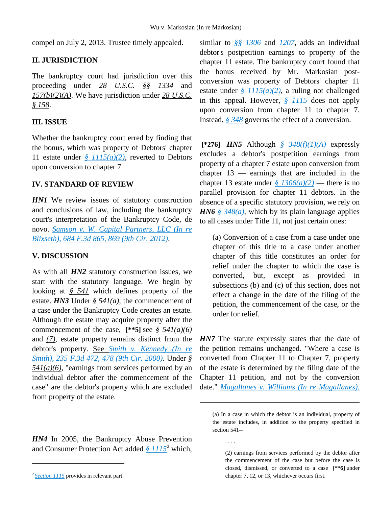$\overline{a}$ 

. . . .

compel on July 2, 2013. Trustee timely appealed.

#### **II. JURISDICTION**

The bankruptcy court had jurisdiction over this proceeding under *28 U.S.C. §§ 1334* and *157(b)(2)(A)*. We have jurisdiction under *28 U.S.C. § 158*.

### **III. ISSUE**

Whether the bankruptcy court erred by finding that the bonus, which was property of Debtors' chapter 11 estate under *[§ 1115\(a\)\(2\)](http://advance.lexis.com/api/document?collection=statutes-legislation&id=urn:contentItem:4YF7-GT91-NRF4-40GT-00000-00&context=1000516)*, reverted to Debtors upon conversion to chapter 7.

#### **IV. STANDARD OF REVIEW**

**HN1** We review issues of statutory construction and conclusions of law, including the bankruptcy court's interpretation of the Bankruptcy Code, de novo. *[Samson v. W. Capital Partners, LLC \(In re](http://advance.lexis.com/api/document?collection=cases&id=urn:contentItem:55XX-2CC1-F04K-V220-00000-00&context=1000516)  [Blixseth\), 684 F.3d 865, 869 \(9th Cir. 2012\)](http://advance.lexis.com/api/document?collection=cases&id=urn:contentItem:55XX-2CC1-F04K-V220-00000-00&context=1000516)*.

#### **V. DISCUSSION**

As with all *HN2* statutory construction issues, we start with the statutory language. We begin by looking at *§ 541* which defines property of the estate. *HN3* Under *§ 541(a)*, the commencement of a case under the Bankruptcy Code creates an estate. Although the estate may acquire property after the commencement of the case,  $[**5]$  see  $\frac{8}{5}$  541(a)(6) and *(7)*, estate property remains distinct from the debtor's property. See *[Smith v. Kennedy \(In re](http://advance.lexis.com/api/document?collection=cases&id=urn:contentItem:42B4-8M30-0038-X282-00000-00&context=1000516)  [Smith\), 235 F.3d 472, 478 \(9th Cir. 2000\)](http://advance.lexis.com/api/document?collection=cases&id=urn:contentItem:42B4-8M30-0038-X282-00000-00&context=1000516)*. Under *§ 541(a)(6)*, "earnings from services performed by an individual debtor after the commencement of the case" are the debtor's property which are excluded from property of the estate.

*HN4* In 2005, the Bankruptcy Abuse Prevention and Consumer Protection Act added *[§ 1115](http://advance.lexis.com/api/document?collection=statutes-legislation&id=urn:contentItem:4YF7-GT91-NRF4-40GT-00000-00&context=1000516)*[2](#page-3-0) which,

 $\overline{a}$ 

similar to *[§§ 1306](http://advance.lexis.com/api/document?collection=statutes-legislation&id=urn:contentItem:4YF7-GW71-NRF4-4403-00000-00&context=1000516)* and *[1207](http://advance.lexis.com/api/document?collection=statutes-legislation&id=urn:contentItem:4YF7-GMG1-NRF4-44SH-00000-00&context=1000516)*, adds an individual debtor's postpetition earnings to property of the chapter 11 estate. The bankruptcy court found that the bonus received by Mr. Markosian postconversion was property of Debtors' chapter 11 estate under *[§ 1115\(a\)\(2\)](http://advance.lexis.com/api/document?collection=statutes-legislation&id=urn:contentItem:4YF7-GT91-NRF4-40GT-00000-00&context=1000516)*, a ruling not challenged in this appeal. However, *[§ 1115](http://advance.lexis.com/api/document?collection=statutes-legislation&id=urn:contentItem:4YF7-GT91-NRF4-40GT-00000-00&context=1000516)* does not apply upon conversion from chapter 11 to chapter 7. Instead, *[§ 348](http://advance.lexis.com/api/document?collection=statutes-legislation&id=urn:contentItem:4YF7-GHV1-NRF4-44N4-00000-00&context=1000516)* governs the effect of a conversion.

**[\*276]** *HN5* Although *[§ 348\(f\)\(1\)\(A\)](http://advance.lexis.com/api/document?collection=statutes-legislation&id=urn:contentItem:4YF7-GHV1-NRF4-44N4-00000-00&context=1000516)* expressly excludes a debtor's postpetition earnings from property of a chapter 7 estate upon conversion from chapter 13 — earnings that are included in the chapter 13 estate under  $\frac{\S}{}$  1306(a)(2) — there is no parallel provision for chapter 11 debtors. In the absence of a specific statutory provision, we rely on *HN6 [§ 348\(a\)](http://advance.lexis.com/api/document?collection=statutes-legislation&id=urn:contentItem:4YF7-GHV1-NRF4-44N4-00000-00&context=1000516)*, which by its plain language applies to all cases under Title 11, not just certain ones:

(a) Conversion of a case from a case under one chapter of this title to a case under another chapter of this title constitutes an order for relief under the chapter to which the case is converted, but, except as provided in subsections (b) and (c) of this section, does not effect a change in the date of the filing of the petition, the commencement of the case, or the order for relief.

*HN7* The statute expressly states that the date of the petition remains unchanged. "Where a case is converted from Chapter 11 to Chapter 7, property of the estate is determined by the filing date of the Chapter 11 petition, and not by the conversion date." *[Magallanes v. Williams \(In re Magallanes\),](http://advance.lexis.com/api/document?collection=cases&id=urn:contentItem:3S4V-KMW0-0039-K203-00000-00&context=1000516)* 

<span id="page-3-0"></span><sup>&</sup>lt;sup>2</sup> *[Section 1115](http://advance.lexis.com/api/document?collection=statutes-legislation&id=urn:contentItem:4YF7-GT91-NRF4-40GT-00000-00&context=1000516)* provides in relevant part:

<sup>(</sup>a) In a case in which the debtor is an individual, property of the estate includes, in addition to the property specified in section 541--

<sup>(2)</sup> earnings from services performed by the debtor after the commencement of the case but before the case is closed, dismissed, or converted to a case **[\*\*6]** under chapter 7, 12, or 13, whichever occurs first.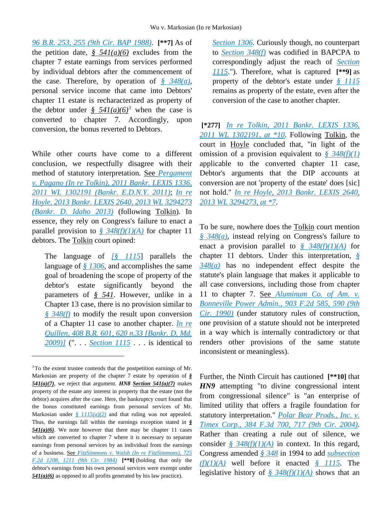*[96 B.R. 253, 255 \(9th Cir. BAP 1988\)](http://advance.lexis.com/api/document?collection=cases&id=urn:contentItem:3S4V-KMW0-0039-K203-00000-00&context=1000516)*. **[\*\*7]** As of the petition date,  $\frac{6}{5}$  541(a)(6) excludes from the chapter 7 estate earnings from services performed by individual debtors after the commencement of the case. Therefore, by operation of *[§ 348\(a\)](http://advance.lexis.com/api/document?collection=statutes-legislation&id=urn:contentItem:4YF7-GHV1-NRF4-44N4-00000-00&context=1000516)*, personal service income that came into Debtors' chapter 11 estate is recharacterized as property of the debtor under  $\frac{6}{9}$  541(a)(6)<sup>[3](#page-4-0)</sup> when the case is converted to chapter 7. Accordingly, upon conversion, the bonus reverted to Debtors.

While other courts have come to a different conclusion, we respectfully disagree with their method of statutory interpretation. See *[Pergament](http://advance.lexis.com/api/document?collection=cases&id=urn:contentItem:52NC-DR21-652F-C08P-00000-00&context=1000516)  [v. Pagano \(In re Tolkin\), 2011 Bankr. LEXIS 1336,](http://advance.lexis.com/api/document?collection=cases&id=urn:contentItem:52NC-DR21-652F-C08P-00000-00&context=1000516)  [2011 WL 1302191 \(Bankr. E.D.N.Y. 2011\)](http://advance.lexis.com/api/document?collection=cases&id=urn:contentItem:52NC-DR21-652F-C08P-00000-00&context=1000516)*; *[In re](http://advance.lexis.com/api/document?collection=cases&id=urn:contentItem:58SB-VMX1-F049-5004-00000-00&context=1000516)  [Hoyle, 2013 Bankr. LEXIS 2640, 2013 WL 3294273](http://advance.lexis.com/api/document?collection=cases&id=urn:contentItem:58SB-VMX1-F049-5004-00000-00&context=1000516)  [\(Bankr. D. Idaho 2013\)](http://advance.lexis.com/api/document?collection=cases&id=urn:contentItem:58SB-VMX1-F049-5004-00000-00&context=1000516)* (following Tolkin). In essence, they rely on Congress's failure to enact a parallel provision to  $\frac{8}{9}$   $\frac{348(f)(1)(A)}{A}$  for chapter 11 debtors. The Tolkin court opined:

The language of *[\[§ 1115](http://advance.lexis.com/api/document?collection=statutes-legislation&id=urn:contentItem:4YF7-GT91-NRF4-40GT-00000-00&context=1000516)*] parallels the language of *[§ 1306](http://advance.lexis.com/api/document?collection=statutes-legislation&id=urn:contentItem:4YF7-GW71-NRF4-4403-00000-00&context=1000516)*, and accomplishes the same goal of broadening the scope of property of the debtor's estate significantly beyond the parameters of *§ 541*. However, unlike in a Chapter 13 case, there is no provision similar to *[§ 348\(f\)](http://advance.lexis.com/api/document?collection=statutes-legislation&id=urn:contentItem:4YF7-GHV1-NRF4-44N4-00000-00&context=1000516)* to modify the result upon conversion of a Chapter 11 case to another chapter. *[In re](http://advance.lexis.com/api/document?collection=cases&id=urn:contentItem:4WRW-F7K0-TXFM-033V-00000-00&context=1000516)  [Quillen, 408 B.R. 601, 620 n.33 \[Bankr. D. Md.](http://advance.lexis.com/api/document?collection=cases&id=urn:contentItem:4WRW-F7K0-TXFM-033V-00000-00&context=1000516)  [2009\)\]](http://advance.lexis.com/api/document?collection=cases&id=urn:contentItem:4WRW-F7K0-TXFM-033V-00000-00&context=1000516)* (". . . *[Section 1115](http://advance.lexis.com/api/document?collection=statutes-legislation&id=urn:contentItem:4YF7-GT91-NRF4-40GT-00000-00&context=1000516)* . . . is identical to

 $\overline{a}$ 

*[Section 1306](http://advance.lexis.com/api/document?collection=statutes-legislation&id=urn:contentItem:4YF7-GW71-NRF4-4403-00000-00&context=1000516)*. Curiously though, no counterpart to *[Section 348\(f\)](http://advance.lexis.com/api/document?collection=statutes-legislation&id=urn:contentItem:4YF7-GHV1-NRF4-44N4-00000-00&context=1000516)* was codified in BAPCPA to correspondingly adjust the reach of *[Section](http://advance.lexis.com/api/document?collection=statutes-legislation&id=urn:contentItem:4YF7-GT91-NRF4-40GT-00000-00&context=1000516)  [1115](http://advance.lexis.com/api/document?collection=statutes-legislation&id=urn:contentItem:4YF7-GT91-NRF4-40GT-00000-00&context=1000516)*."). Therefore, what is captured **[\*\*9]** as property of the debtor's estate under *[§ 1115](http://advance.lexis.com/api/document?collection=statutes-legislation&id=urn:contentItem:4YF7-GT91-NRF4-40GT-00000-00&context=1000516)* remains as property of the estate, even after the conversion of the case to another chapter.

**[\*277]** *[In re Tolkin, 2011 Bankr. LEXIS 1336,](http://advance.lexis.com/api/document?collection=cases&id=urn:contentItem:52NC-DR21-652F-C08P-00000-00&context=1000516)  [2011 WL 1302191, at \\*10](http://advance.lexis.com/api/document?collection=cases&id=urn:contentItem:52NC-DR21-652F-C08P-00000-00&context=1000516)*. Following Tolkin, the court in Hoyle concluded that, "in light of the omission of a provision equivalent to *[§ 348\(f\)\(1\)](http://advance.lexis.com/api/document?collection=statutes-legislation&id=urn:contentItem:4YF7-GHV1-NRF4-44N4-00000-00&context=1000516)* applicable to the converted chapter 11 case, Debtor's arguments that the DIP accounts at conversion are not 'property of the estate' does [sic] not hold." *[In re Hoyle, 2013 Bankr. LEXIS 2640,](http://advance.lexis.com/api/document?collection=cases&id=urn:contentItem:58SB-VMX1-F049-5004-00000-00&context=1000516)  [2013 WL 3294273, at \\*7](http://advance.lexis.com/api/document?collection=cases&id=urn:contentItem:58SB-VMX1-F049-5004-00000-00&context=1000516)*.

To be sure, nowhere does the Tolkin court mention *[§ 348\(a\)](http://advance.lexis.com/api/document?collection=statutes-legislation&id=urn:contentItem:4YF7-GHV1-NRF4-44N4-00000-00&context=1000516)*, instead relying on Congress's failure to enact a provision parallel to *[§ 348\(f\)\(1\)\(A\)](http://advance.lexis.com/api/document?collection=statutes-legislation&id=urn:contentItem:4YF7-GHV1-NRF4-44N4-00000-00&context=1000516)* for chapter 11 debtors. Under this interpretation, *[§](http://advance.lexis.com/api/document?collection=statutes-legislation&id=urn:contentItem:4YF7-GHV1-NRF4-44N4-00000-00&context=1000516)  [348\(a\)](http://advance.lexis.com/api/document?collection=statutes-legislation&id=urn:contentItem:4YF7-GHV1-NRF4-44N4-00000-00&context=1000516)* has no independent effect despite the statute's plain language that makes it applicable to all case conversions, including those from chapter 11 to chapter 7. See *[Aluminum Co. of Am. v.](http://advance.lexis.com/api/document?collection=cases&id=urn:contentItem:3S4X-80X0-003B-50HH-00000-00&context=1000516)  [Bonneville Power Admin., 903 F.2d 585, 590 \(9th](http://advance.lexis.com/api/document?collection=cases&id=urn:contentItem:3S4X-80X0-003B-50HH-00000-00&context=1000516)  [Cir. 1990\)](http://advance.lexis.com/api/document?collection=cases&id=urn:contentItem:3S4X-80X0-003B-50HH-00000-00&context=1000516)* (under statutory rules of construction, one provision of a statute should not be interpreted in a way which is internally contradictory or that renders other provisions of the same statute inconsistent or meaningless).

Further, the Ninth Circuit has cautioned **[\*\*10]** that *HN9* attempting "to divine congressional intent from congressional silence" is "an enterprise of limited utility that offers a fragile foundation for statutory interpretation." *[Polar Bear Prods., Inc. v.](http://advance.lexis.com/api/document?collection=cases&id=urn:contentItem:4D7M-4RJ0-0038-X0HJ-00000-00&context=1000516)  [Timex Corp., 384 F.3d 700, 717 \(9th Cir. 2004\)](http://advance.lexis.com/api/document?collection=cases&id=urn:contentItem:4D7M-4RJ0-0038-X0HJ-00000-00&context=1000516)*. Rather than creating a rule out of silence, we consider  $\frac{8}{9}$   $\frac{348(f)(1)(A)}{A}$  in context. In this regard, Congress amended *[§ 348](http://advance.lexis.com/api/document?collection=statutes-legislation&id=urn:contentItem:4YF7-GHV1-NRF4-44N4-00000-00&context=1000516)* in 1994 to add *[subsection](http://advance.lexis.com/api/document?collection=statutes-legislation&id=urn:contentItem:4YF7-GHV1-NRF4-44N4-00000-00&context=1000516)  [\(f\)\(1\)\(A\)](http://advance.lexis.com/api/document?collection=statutes-legislation&id=urn:contentItem:4YF7-GHV1-NRF4-44N4-00000-00&context=1000516)* well before it enacted *[§ 1115](http://advance.lexis.com/api/document?collection=statutes-legislation&id=urn:contentItem:4YF7-GT91-NRF4-40GT-00000-00&context=1000516)*. The legislative history of *[§ 348\(f\)\(1\)\(A\)](http://advance.lexis.com/api/document?collection=statutes-legislation&id=urn:contentItem:4YF7-GHV1-NRF4-44N4-00000-00&context=1000516)* shows that an

<span id="page-4-0"></span><sup>&</sup>lt;sup>3</sup>To the extent trustee contends that the postpetition earnings of Mr. Markosian are property of the chapter 7 estate by operation of *§ 541(a)(7)*, we reject that argument. *HN8 Section 541(a)(7)* makes property of the estate any interest in property that the estate (not the debtor) acquires after the case. Here, the bankruptcy court found that the bonus constituted earnings from personal services of Mr. Markosian under  $\frac{g}{2}$  1115(a)(2) and that ruling was not appealed. Thus, the earnings fall within the earnings exception stated in *§ 541(a)(6)*. We note however that there may be chapter 11 cases which are converted to chapter 7 where it is necessary to separate earnings from personal services by an individual from the earnings of a business. See *[FitzSimmons v. Walsh \(In re FitzSimmons\), 725](http://advance.lexis.com/api/document?collection=cases&id=urn:contentItem:3S4W-XMH0-003B-G3X7-00000-00&context=1000516)  [F.2d 1208, 1211 \(9th Cir. 1984\)](http://advance.lexis.com/api/document?collection=cases&id=urn:contentItem:3S4W-XMH0-003B-G3X7-00000-00&context=1000516)* **[\*\*8]** (holding that only the debtor's earnings from his own personal services were exempt under *541(a)(6)* as opposed to all profits generated by his law practice).